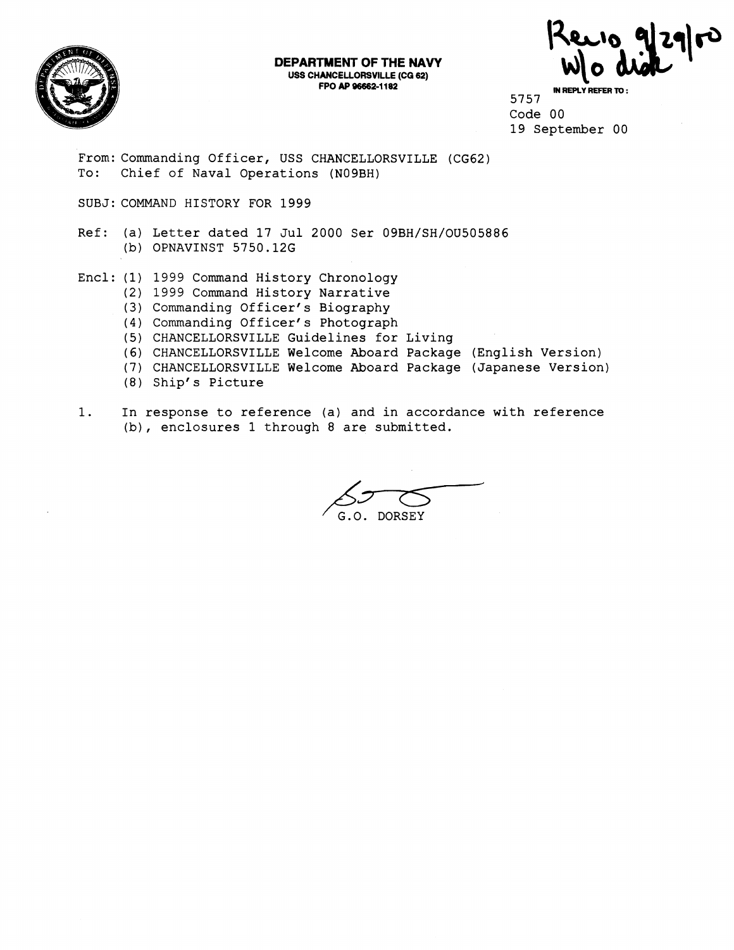

**DEPARTMENT OF THE NAVY USS CHANCELLORSVILLE (CQ 62)**  FINENT OF THE NAVY<br>
ANCELLORSVILLE (CG 62)<br>
FPO AP 96662-1182<br>
B<sub>757</sub> Reply Refer To :

5757 Code 00 19 September 00

From: Commanding Officer, USS CHANCELLORSVILLE (CG62) To: Chief of Naval Operations (N09BH)

SUBJ: COMMAND HISTORY FOR 1999

Ref: (a) Letter dated 17 Jul 2000 Ser 09BH/SH/OU505886 (b) OPNAVINST 5750.126

- Encl: (1) 1999 Command History Chronology
	- (2) 1999 Command History Narrative
		- **(3)**  Commanding Officer's Biography
		- **(4**  Commanding Officer' s Photograph
		- (5 CHANCELLORSVILLE Guidelines for Living
		- **(6)**  CHANCELLORSVILLE Welcome Aboard Package (English Version)
		- (7 CHANCELLORSVILLE Welcome Aboard Package (Japanese Version)
		- (8) Shipf s Picture
- 1. In response to reference (a) and in accordance with reference (b), enclosures 1 through 8 are submitted.

G.O. DORSEY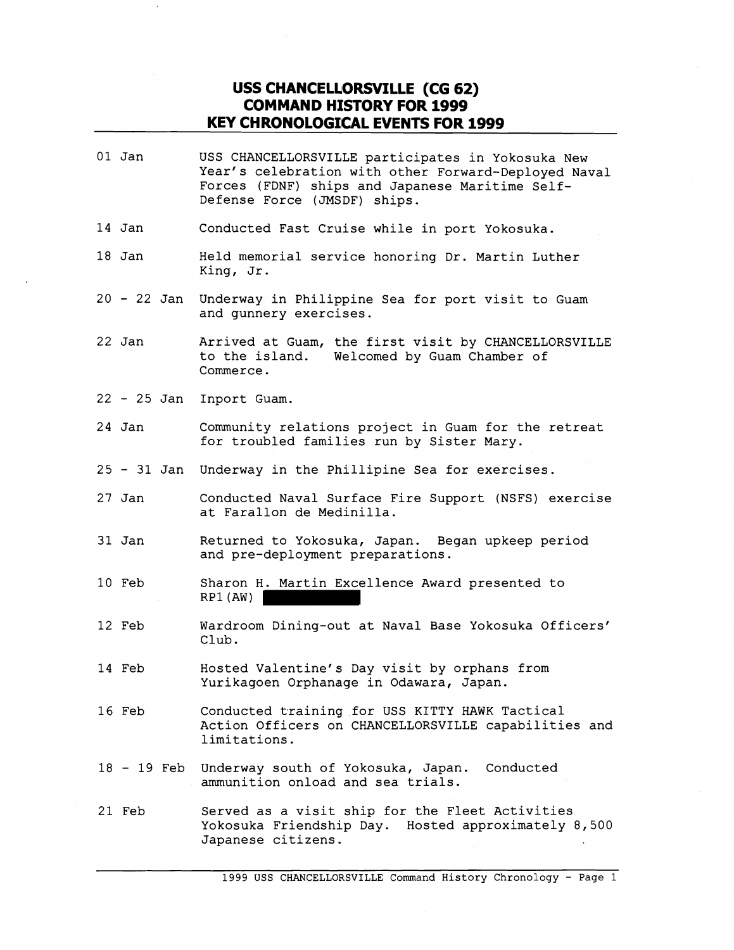## **USS CHANCELLORSVILLE (CG 62) COMMAND HfSTORY FOR 1999 KEY CHRONOLOGICAL EVENTS FOR 1999**

01 Jan USS CHANCELLORSVILLE participates in Yokosuka New Year's celebration with other Forward-Deployed Naval Forces (FDNF) ships and Japanese Maritime Self-Defense Force (JMSDF) ships. 14 Jan Conducted Fast Cruise while in port Yokosuka. 18 Jan Held memorial service honoring Dr. Martin Luther King, Jr. <sup>20</sup>- 22 Jan Underway in Philippine Sea for port visit to Guam and gunnery exercises. 22 Jan Arrived at Guam, the first visit by CHANCELLORSVILLE to the island. Welcomed by Guam Chamber of Commerce. <sup>22</sup>- 25 Jan Inport Guam. 24 Jan Community relations project in Guam for the retreat for troubled families run by Sister Mary. <sup>25</sup>- 31 Jan Underway in the Phillipine Sea for exercises. 27 Jan Conducted Naval Surface Fire Support (NSFS) exercise at Farallon de Medinilla. 31 Jan Returned to Yokosuka, Japan. Began upkeep period and pre-deployment preparations. 10 Feb Sharon H. Martin Excellence Award presented to RP1 (AW) 12 Feb Wardroom Dining-out at Naval Base Yokosuka Officers' Club. 14 Feb Hosted Valentine's Day visit by orphans from Yurikagoen Orphanage in Odawara, Japan. 16 Feb Conducted training for USS KITTY HAWK Tactical Action Officers on CHANCELLORSVILLE capabilities and limitations. <sup>18</sup>- 19 Feb Underway south of Yokosuka, Japan. Conducted ammunition onload and sea trials. 21 Feb Served as a visit ship for the Fleet Activities Yokosuka Friendship Day. Hosted approximately 8,500 Japanese citizens.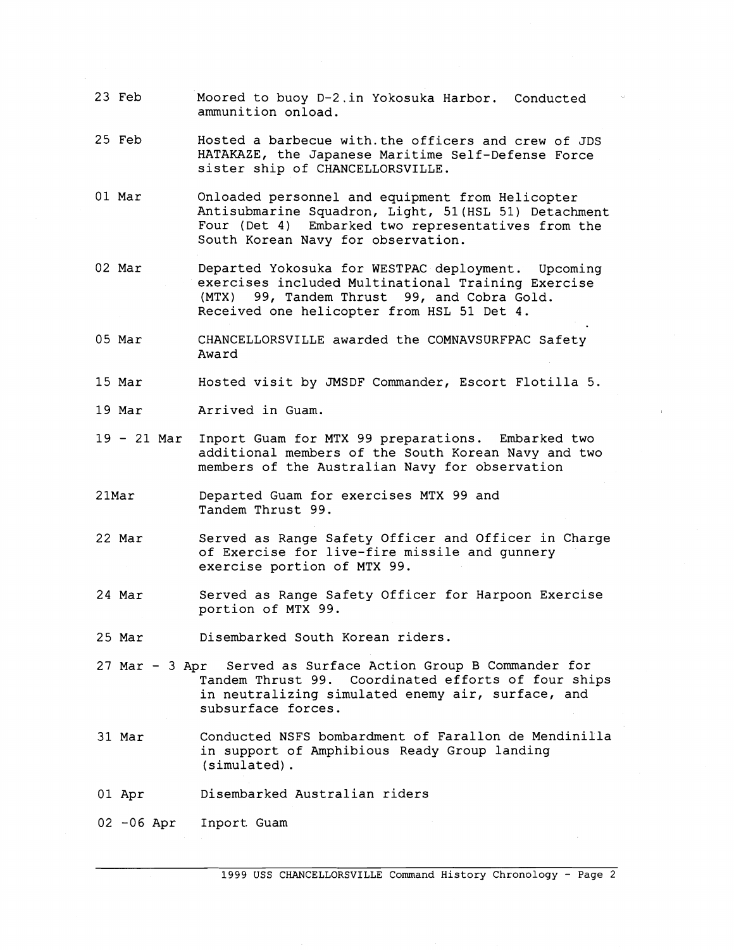- 23 Feb Moored to buoy D-2.in Yokosuka Harbor. Conducted ammunition onload.
- 25 Feb Hosted a barbecue with.the officers and crew of JDS HATAKAZE, the Japanese Maritime Self-Defense Force sister ship of CHANCELLORSVILLE.
- 01 Mar Onloaded personnel and equipment from Helicopter Antisubmarine Squadron, Light, 51(HSL 51) Detachment Four (Det 4) Embarked two representatives from the South Korean Navy for observation.
- 02 Mar Departed Yokosuka for WESTPAC deployment. Upcoming exercises included Multinational Training Exercise (MTX) 99, Tandem Thrust 99, and Cobra Gold. Received one helicopter from HSL 51 Det 4.
- 05 Mar CHANCELLORSVILLE awarded the COMNAVSURFPAC Safety Award
- 15 Mar Hosted visit by JMSDF Commander, Escort Flotilla 5.
- 19 Mar Arrived in Guam.
- <sup>19</sup> 21 Mar Inport Guam for MTX 99 preparations. Embarked two additional members of the South Korean Navy and two members of the Australian Navy for observation
- 2 1Mar Departed Guam for exercises MTX 99 and Tandem Thrust 99.
- 22 Mar Served as Range Safety Officer and Officer in Charge of Exercise for live-fire missile and gunnery exercise portion of MTX 99.
- 24 Mar Served as Range Safety Officer for Harpoon Exercise portion of MTX 99.
- 25 Mar Disembarked South Korean riders.
- 27 Mar 3 Apr Served as Surface Action Group B Commander for Tandem Thrust 99. Coordinated efforts of four ships in neutralizing simulated enemy air, surface, and subsurface forces.
- 31 Mar Conducted NSFS bombardment of Farallon de Mendinilla in support of Amphibious Ready Group landing (simulated) .
- 01 Apr Disembarked Australian riders
- 02 -06 Apr Inport. Guam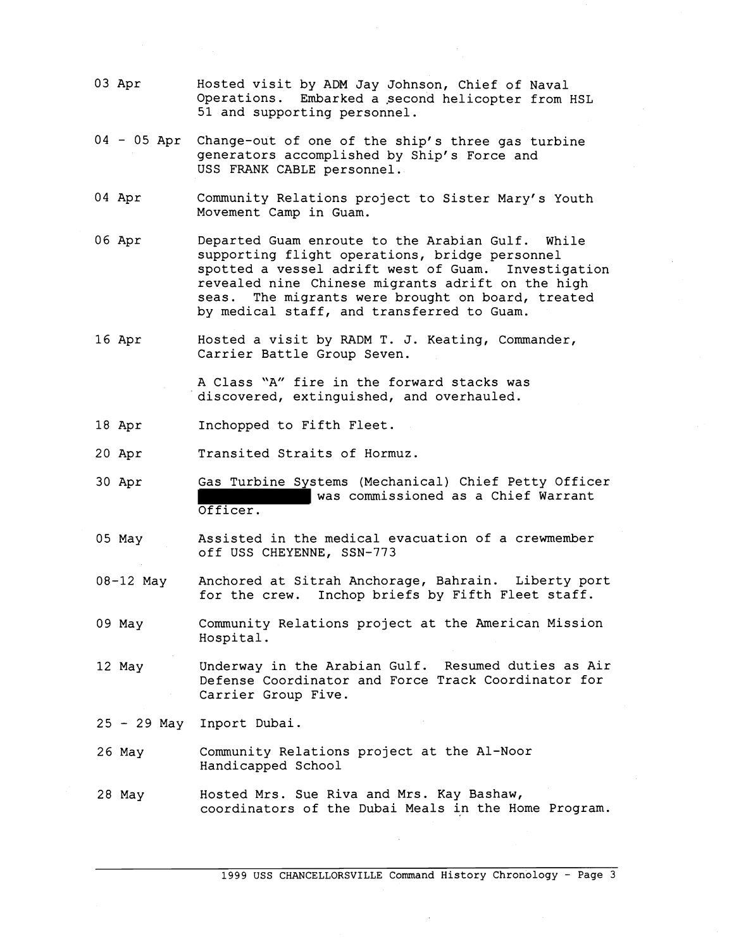- 03 Apr Hosted visit by ADM Jay Johnson, Chief of Naval Operations. Embarked a second helicopter from HSL 51 and supporting personnel.
- 04 05 Apr Change-out of one of the ship's three gas turbine generators accomplished by Ship's Force and USS FRANK CABLE personnel.
- 04 Apr Community Relations project to Sister Mary's Youth Movement Camp in Guam.
- 06 Apr Departed Guam enroute to the Arabian Gulf. While supporting flight operations, bridge personnel spotted a vessel adrift west of Guam. Investigation revealed nine Chinese migrants adrift on the high seas. The migrants were brought on board, treated by medical staff, and transferred to Guam.
- 16 Apr Hosted a visit by RADM T. J. Keating, Commander, Carrier Battle Group Seven.

A Class "A" fire in the forward stacks was discovered, extinguished, and overhauled.

- 18 Apr Inchopped to Fifth Fleet.
- 20 Apr Transited Straits of Hormuz.
- 30 Apr Gas Turbine Systems (Mechanical) Chief Petty Officer was commissioned as a Chief Warrant Officer.
- 05 May Assisted in the medical evacuation of a crewmember off USS CHEYENNE, SSN-773
- 08-12 May Anchored at Sitrah Anchorage, Bahrain. Liberty port for the crew. Inchop briefs by Fifth Fleet staff.
- 09 May Community Relations project at the American Mission Hospital.
- 12 May Underway in the Arabian Gulf. Resumed duties as Air Defense Coordinator and Force Track Coordinator for Carrier Group Five.
- <sup>25</sup> 29 May Inport Dubai.
- 26 May Community Relations project at the Al-Noor Handicapped School
- 28 May Hosted Mrs. Sue Riva and Mrs. Kay Bashaw, coordinators of the Dubai Meals in the Home Program.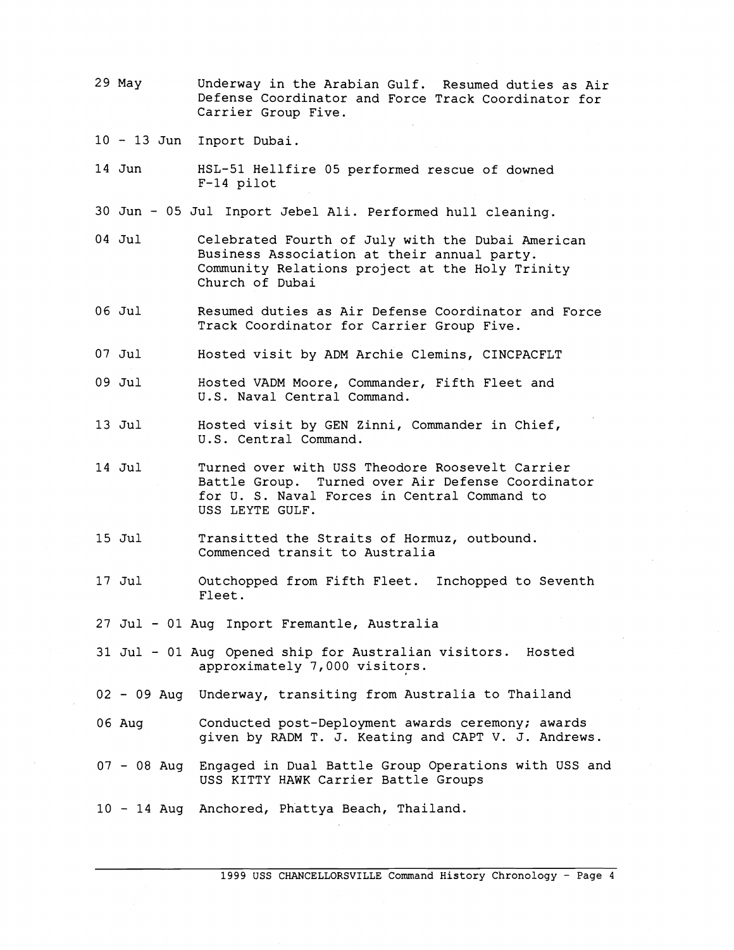- 29 May Underway in the Arabian Gulf. Resumed duties as Air Defense Coordinator and Force Track Coordinator for Carrier Group Five.
- <sup>10</sup> 13 Jun Inport Dubai.
- 14 Jun HSL-51 Hellfire 05 performed rescue of downed F-14 pilot
- 30 Jun 05 Jul Inport Jebel Ali. Performed hull cleaning.
- 04 Jul Celebrated Fourth of July with the Dubai American Business Association at their annual party. Community Relations project at the Holy Trinity Church of Dubai
- 06 Jul Resumed duties as Air Defense Coordinator and Force Track Coordinator for Carrier Group Five.
- 07 Jul Hosted visit by ADM Archie Clemins, CINCPACFLT
- 09 Jul Hosted VADM Moore, Commander, Fifth Fleet and U.S. Naval Central Command.
- 13 Jul Hosted visit by GEN Zinni, Commander in Chief, U.S. Central Command.
- 14 Jul Turned over with USS Theodore Roosevelt Carrier Battle Group. Turned over Air Defense Coordinator for U. S. Naval Forces in Central Command to USS LEYTE GULF.
- 15 Jul Transitted the Straits of Hormuz, outbound. Commenced transit to Australia
- 17 Jul Outchopped from Fifth Fleet. Inchopped to Seventh Fleet.
- 27 Jul 01 Aug Inport Fremantle, Australia
- 31 Jul 01 Aug Opened ship for Australian visitors. Hosted approximately 7,000 visitors.
- <sup>02</sup> 09 Aug Underway, transiting from Australia to Thailand
- 06 Aug Conducted post-Deployment awards ceremony; awards given by RADM T. J. Keating and CAPT V. J. Andrews.
- <sup>07</sup> 08 Aug Engaged in Dual Battle Group Operations with USS and USS KITTY HAWK Carrier Battle Groups
- <sup>10</sup> 14 Aug Anchored, Phattya Beach, Thailand.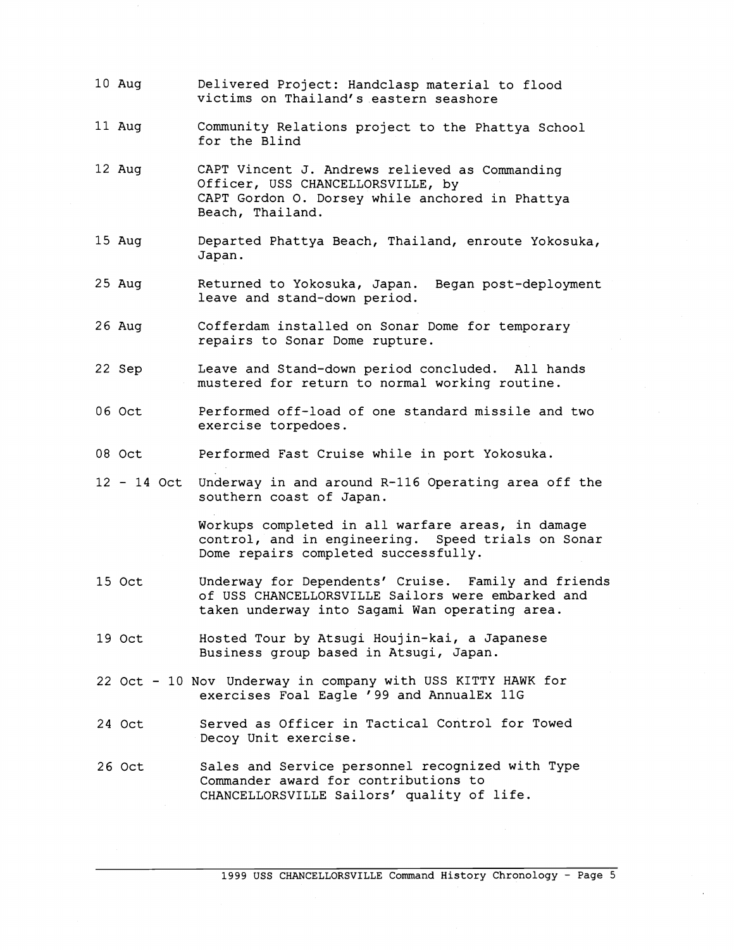- 10 Aug Delivered Project: Handclasp material to flood victims on Thailand's eastern seashore
- 11 Aug Community Relations project to the Phattya School for the Blind
- 12 Aug CAPT Vincent J. Andrews relieved as Commanding Officer, USS CHANCELLORSVILLE, by CAPT Gordon 0. Dorsey while anchored in Phattya Beach, Thailand.
- 15 Aug Departed Phattya Beach, Thailand, enroute Yokosuka, Japan.
- 25 Aug Returned to Yokosuka, Japan. Began post-deployment leave and stand-down period.
- 26 Aug Cofferdam installed on Sonar Dome for temporary repairs to Sonar Dome rupture.
- 22 Sep Leave and Stand-down period concluded. All hands mustered for return to normal working routine.
- 06 Oct Performed off-load of one standard missile and two exercise torpedoes.
- 08 Oct Performed Fast Cruise while in port Yokosuka.
- <sup>12</sup> 14 Oct Underway in and around R-116 Operating area off the southern coast of Japan.

Workups completed in all warfare areas, in damage control, and in engineering. Speed trials on Sonar Dome repairs completed successfully.

- 15 Oct Underway for Dependents' Cruise. Family and friends of USS CHANCELLORSVILLE Sailors were embarked and taken underway into Sagami Wan operating area.
- 19 Oct Hosted Tour by Atsugi Houjin-kai, a Japanese Business group based in Atsugi, Japan.
- 22 Oct <sup>10</sup> Nov Underway in company with USS KITTY HAWK for exercises Foal Eagle '99 and AnnualEx 11G
- 24 Oct Served as Officer in Tactical Control for Towed Decoy Unit exercise.
- 26 Oct Sales and Service personnel recognized with Type Commander award for contributions to CHANCELLORSVILLE Sailors' quality of life.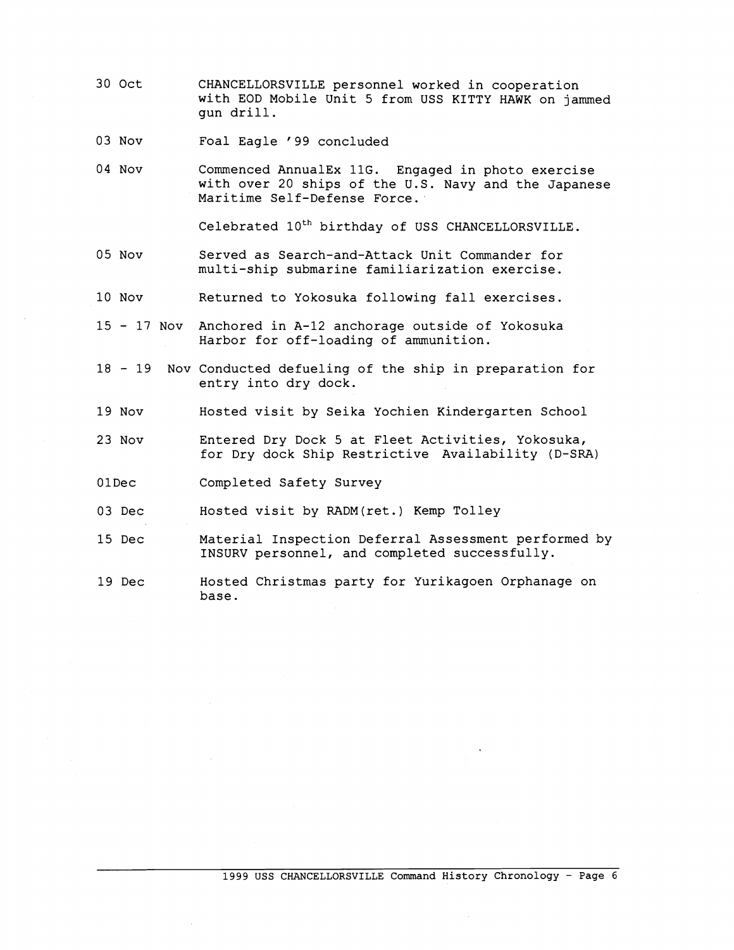- 30 Oct CHANCELLORSVILLE personnel worked in cooperation with EOD Mobile Unit 5 from USS KITTY HAWK on jammed gun drill.
- 03 Nov Foal Eagle '99 concluded
- 04 Nov Commenced AnnualEx 11G. Engaged in photo exercise with over 20 ships of the U.S. Navy and the Japanese Maritime Self-Defense Force.

Celebrated  $10^{th}$  birthday of USS CHANCELLORSVILLE.

- 05 Nov Served as Search-and-Attack Unit Commander for multi-ship submarine familiarization exercise.
- 10 Nov Returned to Yokosuka following fall exercises.
- <sup>15</sup> 17 Nov Anchored in A-12 anchorage outside of Yokosuka Harbor for off-loading of ammunition.
- <sup>18</sup> 19 Nov Conducted defueling of the ship in preparation for entry into dry dock.
- 19 Nov Hosted visit by Seika Yochien Kindergarten School
- 23 Nov Entered Dry Dock 5 at Fleet Activities, Yokosuka, for Dry dock Ship Restrictive Availability (D-SRA)
- OlDec Completed Safety Survey

03 Dec Hosted visit by RADM(ret.) Kemp Tolley

- 15 Dec Material Inspection Deferral Assessment performed by INSURV personnel, and completed successfully.
- 19 Dec Hosted Christmas party for Yurikagoen Orphanage on base.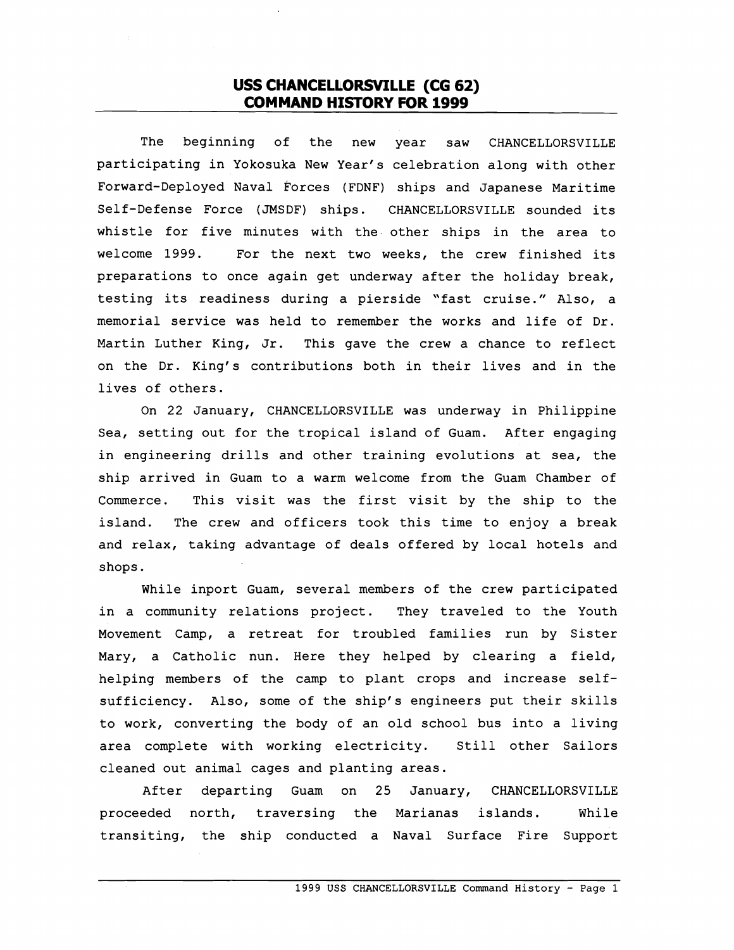## USS CHANCELLORSVILLE (CG 62) **COMMAND HISTORY FOR 1999**

The beginning of the new year saw CHANCELLORSVILLE participating in Yokosuka New Year's celebration along with other Forward-Deployed Naval Forces (FDNF) ships and Japanese Maritime Self-Defense Force (JMSDF) ships. CHANCELLORSVILLE sounded its whistle for five minutes with the other ships in the area to welcome 1999. For the next two weeks, the crew finished its preparations to once again get underway after the holiday break, testing its readiness during a pierside "fast cruise." Also, a memorial service was held to remember the works and life of Dr. Martin Luther King, Jr. This gave the crew a chance to reflect on the Dr. King's contributions both in their lives and in the lives of others.

On 22 January, CHANCELLORSVILLE was underway in Philippine Sea, setting out for the tropical island of Guam. After engaging in engineering drills and other training evolutions at sea, the ship arrived in Guam to a warm welcome from the Guam Chamber of Commerce. This visit was the first visit by the ship to the island. The crew and officers took this time to enjoy a break and relax, taking advantage of deals offered by local hotels and shops.

While inport Guam, several members of the crew participated in a community relations project. They traveled to the Youth Movement Camp, a retreat for troubled families run by Sister Mary, a Catholic nun. Here they helped by clearing a field, helping members of the camp to plant crops and increase selfsufficiency. Also, some of the ship's engineers put their skills to work, converting the body of an old school bus into a living area complete with working electricity. Still other Sailors cleaned out animal cages and planting areas.

After departing Guam on 25 January, CHANCELLORSVILLE proceeded north, traversing the Marianas islands. While transiting, the ship conducted a Naval Surface Fire Support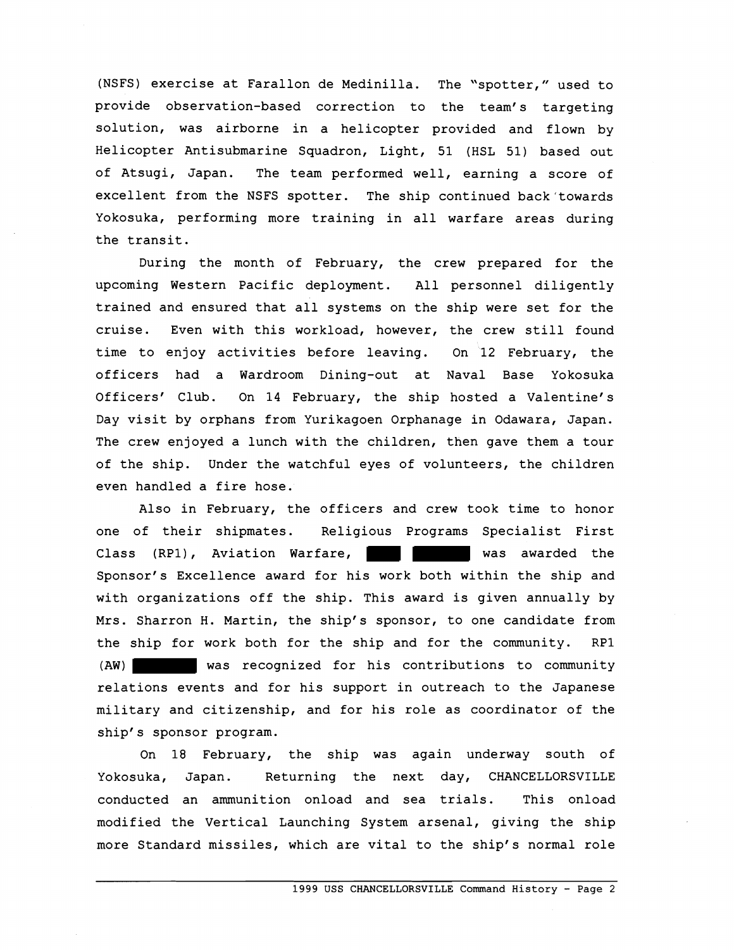(NSFS) exercise at Farallon de Medinilla. The "spotter," used to provide observation-based correction to the team's targeting solution, was airborne in a helicopter provided and flown by Helicopter Antisubmarine Squadron, Light, 51 (HSL 51) based out of Atsugi, Japan. The team performed well, earning a score of excellent from the NSFS spotter. The ship continued back'towards Yokosuka, performing more training in all warfare areas during the transit.

During the month of February, the crew prepared for the upcoming Western Pacific deployment. All personnel diligently trained and ensured that all systems on the ship were set for the cruise. Even with this workload, however, the crew still found time to enjoy activities before leaving. On 12 February, the officers had a Wardroom Dining-out at Naval Base Yokosuka Officers' Club. On 14 February, the ship hosted a Valentine's Day visit by orphans from Yurikagoen Orphanage in Odawara, Japan. The crew enjoyed a lunch with the children, then gave them a tour of the ship. Under the watchful eyes of volunteers, the children even handled a fire hose.

Also in February, the officers and crew took time to honor one of their shipmates. Religious Programs Specialist First Class (RP1), Aviation Warfare, was awarded the Sponsor's Excellence award for his work both within the ship and with organizations off the ship. This award is given annually by Mrs. Sharron H. Martin, the ship's sponsor, to one candidate from the ship for work both for the ship and for the community. RP1 (AW) was recognized for his contributions to community relations events and for his support in outreach to the Japanese military and citizenship, and for his role as coordinator of the ship's sponsor program.

On 18 February, the ship was again underway south of Yokosuka, Japan. Returning the next day, CHANCELLORSVILLE conducted an ammunition onload and sea trials. This onload modified the Vertical Launching System arsenal, giving the ship more Standard missiles, which are vital to the ship's normal role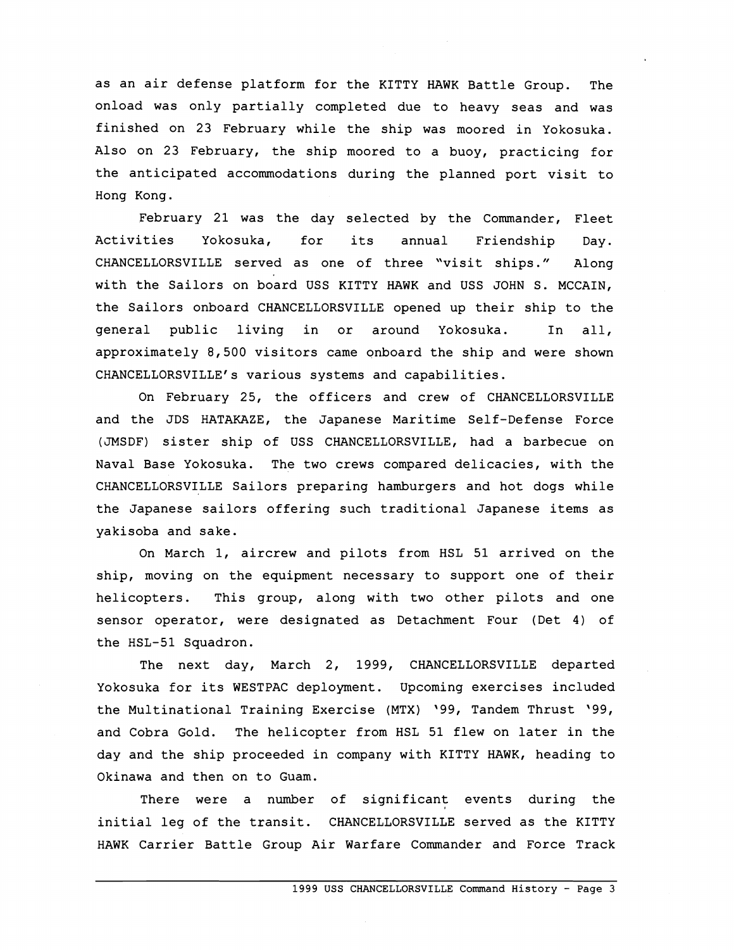as an air defense platform for the KITTY HAWK Battle Group. The onload was only partially completed due to heavy seas and was finished on 23 February while the ship was moored in Yokosuka. Also on 23 February, the ship moored to a buoy, practicing for the anticipated accommodations during the planned port visit to Hong Kong.

February 21 was the day selected by the Commander, Fleet Activities Yokosuka, for its annual Friendship Day. CHANCELLORSVILLE served as one of three "visit ships." Along with the Sailors on board USS KITTY HAWK and USS JOHN S. MCCAIN, the Sailors onboard CHANCELLORSVILLE opened up their ship to the general public living in or around Yokosuka. In all, approximately 8,500 visitors came onboard the ship and were shown CHANCELLORSVILLE's various systems and capabilities.

On February 25, the officers and crew of CHANCELLORSVILLE and the JDS HATAKAZE, the Japanese Maritime Self-Defense Force (JMSDF) sister ship of USS CHANCELLORSVILLE, had a barbecue on Naval Base Yokosuka. The two crews compared delicacies, with the CHANCELLORSVILLE Sailors preparing hamburgers and hot dogs while the Japanese sailors offering such traditional Japanese items as yakisoba and sake.

On March 1, aircrew and pilots from HSL 51 arrived on the ship, moving on the equipment necessary to support one of their helicopters. This group, along with two other pilots and one sensor operator, were designated as Detachment Four (Det 4) of the HSL-51 Squadron.

The next day, March 2, 1999, CHANCELLORSVILLE departed Yokosuka for its WESTPAC deployment. Upcoming exercises included the Multinational Training Exercise (MTX) '99, Tandem Thrust '99, and Cobra Gold. The helicopter from HSL 51 flew on later in the day and the ship proceeded in company with KITTY HAWK, heading to Okinawa and then on to Guam.

There were a number of significant events during the initial leg of the transit. CHANCELLORSVILLE served as the KITTY HAWK Carrier Battle Group Air Warfare Commander and Force Track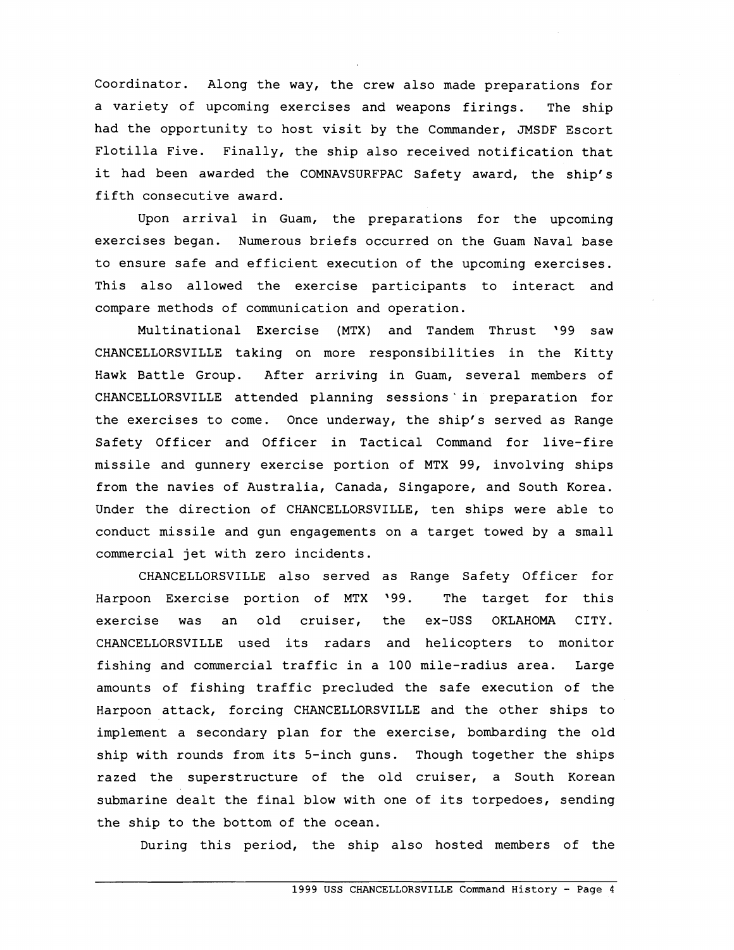Coordinator. Along the way, the crew also made preparations for a variety of upcoming exercises and weapons firings. The ship had the opportunity to host visit by the Commander, JMSDF Escort Flotilla Five. Finally, the ship also received notification that it had been awarded the COMNAVSURFPAC Safety award, the ship's fifth consecutive award.

Upon arrival in Guam, the preparations for the upcoming exercises began. Numerous briefs occurred on the Guam Naval base to ensure safe and efficient execution of the upcoming exercises. This also allowed the exercise participants to interact and compare methods of communication and operation.

Multinational Exercise (MTX) and Tandem Thrust '99 saw CHANCELLORSVILLE taking on more responsibilities in the Kitty Hawk Battle Group. After arriving in Guam, several members of CHANCELLORSVILLE attended planning sessions' in preparation for the exercises to come. Once underway, the ship's served as Range Safety Officer and Officer in Tactical Command for live-fire missile and gunnery exercise portion of MTX 99, involving ships from the navies of Australia, Canada, Singapore, and South Korea. Under the direction of CHANCELLORSVILLE, ten ships were able to conduct missile and gun engagements on a target towed by a small commercial jet with zero incidents.

CHANCELLORSVILLE also served as Range Safety Officer for Harpoon Exercise portion of MTX '99. The target for this exercise was an old cruiser, the ex-USS OKLAHOMA CITY. CHANCELLORSVILLE used its radars and helicopters to monitor fishing and comercial traffic in a 100 mile-radius area. Large amounts of fishing traffic precluded the safe execution of the Harpoon attack, forcing CHANCELLORSVILLE and the other ships to implement a secondary plan for the exercise, bombarding the old ship with rounds from its 5-inch guns. Though together the ships razed the superstructure of the old cruiser, a South Korean submarine dealt the final blow with one of its torpedoes, sending the ship to the bottom of the ocean.

During this period, the ship also hosted members of the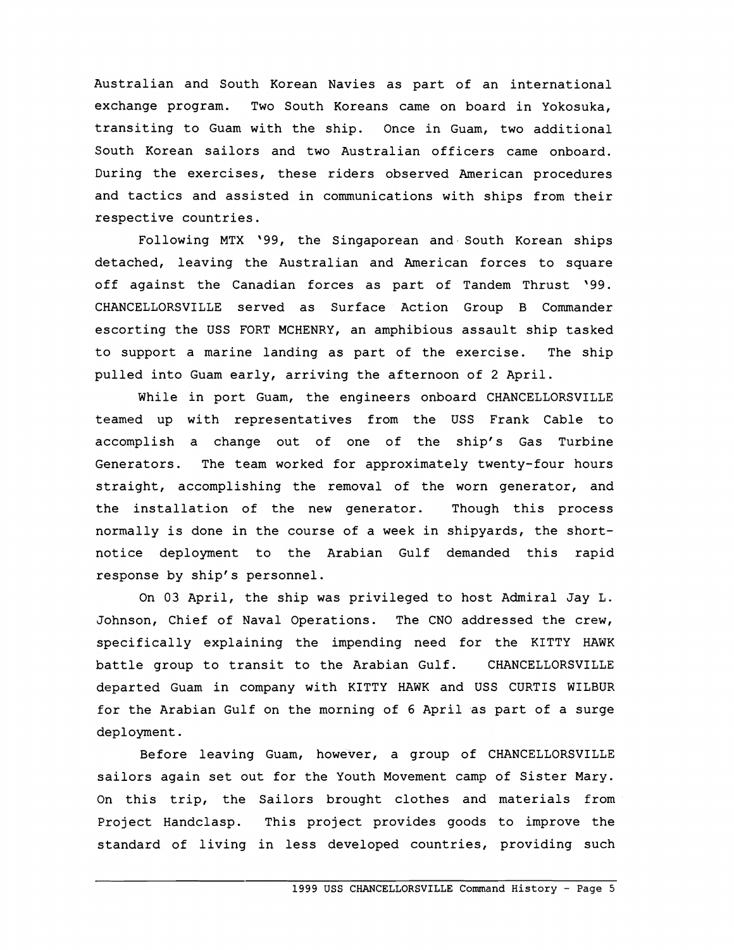Australian and South Korean Navies as part of an international exchange program. Two South Koreans came on board in Yokosuka, transiting to Guam with the ship. Once in Guam, two additional South Korean sailors and two Australian officers came onboard. During the exercises, these riders observed American procedures and tactics and assisted in communications with ships from their respective countries.

Following MTX '99, the Singaporean and South Korean ships detached, leaving the Australian and American forces to square off against the Canadian forces as part of Tandem Thrust '99. CHANCELLORSVILLE served as Surface Action Group B Commander escorting the USS FORT MCHENRY, an amphibious assault ship tasked to support a marine landing as part of the exercise. The ship pulled into Guam early, arriving the afternoon of 2 April.

While in port Guam, the engineers onboard CHANCELLORSVILLE teamed up with representatives from the USS Frank Cable to accomplish a change out of one of the ship's Gas Turbine Generators. The team worked for approximately twenty-four hours straight, accomplishing the removal of the worn generator, and the installation of the new generator. Though this process normally is done in the course of a week in shipyards, the shortnotice deployment to the Arabian Gulf demanded this rapid response by ship's personnel.

On 03 April, the ship was privileged to host Admiral Jay L. Johnson, Chief of Naval Operations. The CNO addressed the crew, specifically explaining the impending need for the KITTY HAWK battle group to transit to the Arabian Gulf. CHANCELLORSVILLE departed Guam in company with KITTY HAWK and USS CURTIS WILBUR for the Arabian Gulf on the morning of 6 April as part of a surge deployment.

Before leaving Guam, however, a group of CHANCELLORSVILLE sailors again set out for the Youth Movement camp of Sister Mary. On this trip, the Sailors brought clothes and materials from Project Handclasp. This project provides goods to improve the standard of living in less developed countries, providing such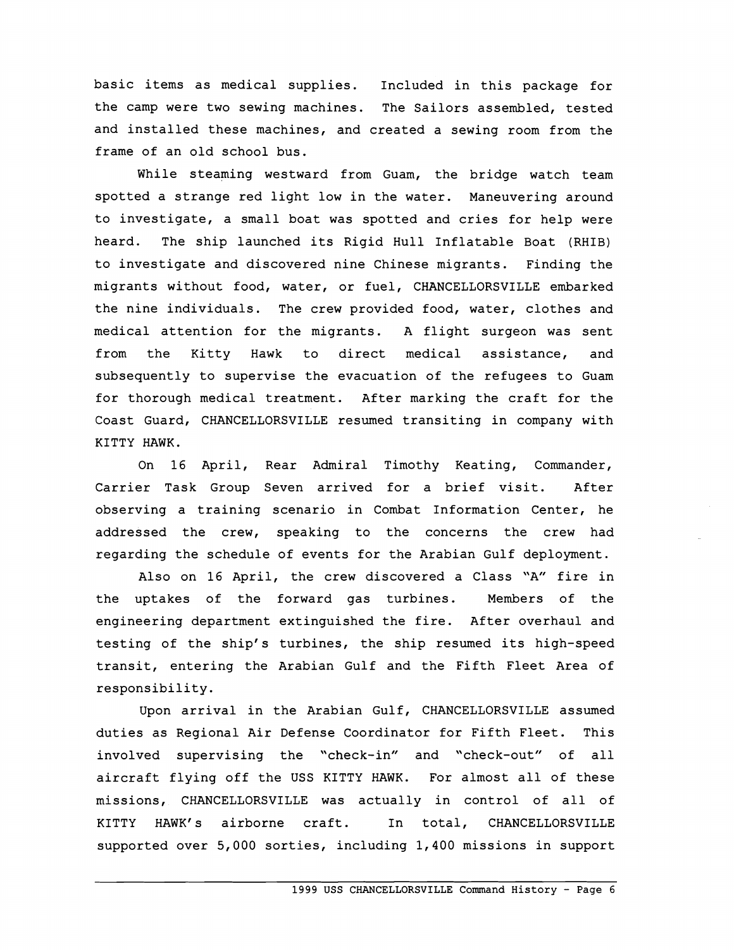basic items as medical supplies. Included in this package for the camp were two sewing machines. The Sailors assembled, tested and installed these machines, and created a sewing room from the frame of an old school bus.

While steaming westward from Guam, the bridge watch team spotted a strange red light low in the water. Maneuvering around to investigate, a small boat was spotted and cries for help were heard. The ship launched its Rigid Hull Inflatable Boat (RHIB) to investigate and discovered nine Chinese migrants. Finding the migrants without food, water, or fuel, CHANCELLORSVILLE embarked the nine individuals. The crew provided food, water, clothes and medical attention for the migrants. A flight surgeon was sent from the Kitty Hawk to direct medical assistance, and subsequently to supervise the evacuation of the refugees to Guam for thorough medical treatment. After marking the craft for the Coast Guard, CHANCELLORSVILLE resumed transiting in company with KITTY HAWK.

On 16 April, Rear Admiral Timothy Keating, Commander, Carrier Task Group Seven arrived for a brief visit. After observing a training scenario in Combat Information Center, he addressed the crew, speaking to the concerns the crew had regarding the schedule of events for the Arabian Gulf deployment.

Also on 16 April, the crew discovered a Class "A" fire in the uptakes of the forward gas turbines. Members of the engineering department extinguished the fire. After overhaul and testing of the ship's turbines, the ship resumed its high-speed transit, entering the Arabian Gulf and the Fifth Fleet Area of responsibility.

Upon arrival in the Arabian Gulf, CHANCELLORSVILLE assumed duties as Regional Air Defense Coordinator for Fifth Fleet. This involved supervising the "check-in" and "check-out" of all aircraft flying off the USS KITTY HAWK. For almost all of these missions, CHANCELLORSVILLE was actually in control of all of KITTY HAWK'S airborne craft. In total, CHANCELLORSVILLE supported over 5,000 sorties, including 1,400 missions in support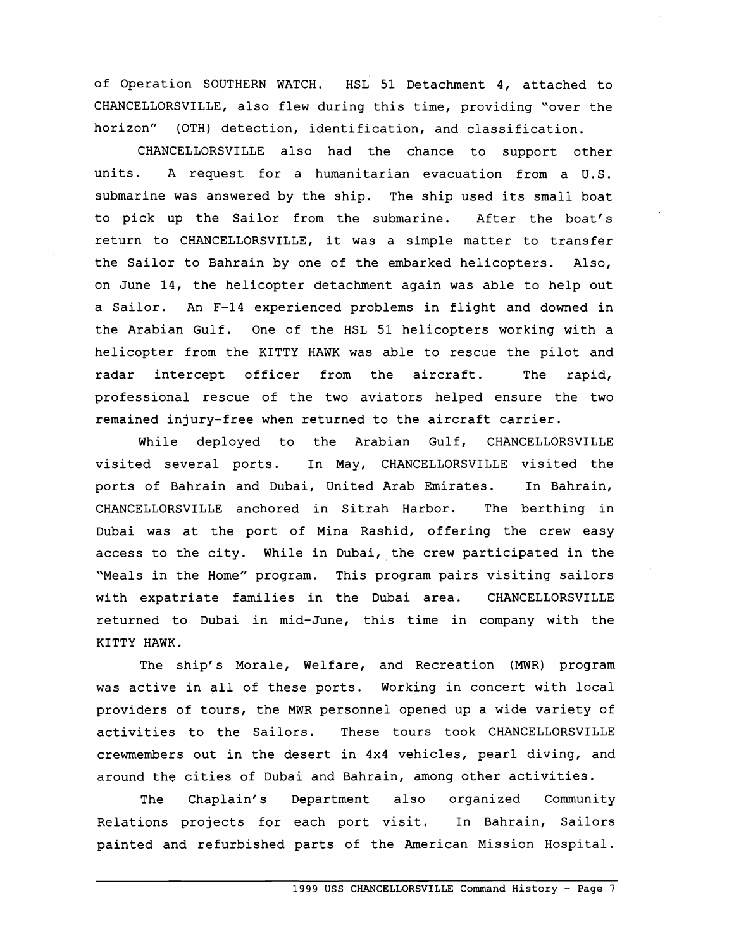of Operation SOUTHERN WATCH. HSL 51 Detachment 4, attached to CHANCELLORSVILLE, also flew during this time, providing "over the horizon" (OTH) detection, identification, and classification.

CHANCELLORSVILLE also had the chance to support other units. A request for a humanitarian evacuation from a U.S. submarine was answered by the ship. The ship used its small boat to pick up the Sailor from the submarine. After the boat's return to CHANCELLORSVILLE, it was a simple matter to transfer the Sailor to Bahrain by one of the embarked helicopters. Also, on June 14, the helicopter detachment again was able to help out a Sailor. An F-14 experienced problems in flight and downed in the Arabian Gulf. One of the HSL 51 helicopters working with a helicopter from the KITTY HAWK was able to rescue the pilot and radar intercept officer from the aircraft. The rapid, professional rescue of the two aviators helped ensure the two remained injury-free when returned to the aircraft carrier.

While deployed to the Arabian Gulf, CHANCELLORSVILLE visited several ports. In May, CHANCELLORSVILLE visited the ports of Bahrain and Dubai, United Arab Emirates. In Bahrain, CHANCELLORSVILLE anchored in Sitrah Harbor. The berthing in Dubai was at the port of Mina Rashid, offering the crew easy access to the city. While in Dubai, the crew participated in the "Meals in the Home" program. This program pairs visiting sailors with expatriate families in the Dubai area. CHANCELLORSVILLE returned to Dubai in mid-June, this time in company with the KITTY HAWK.

The ship's Morale, Welfare, and Recreation (MWR) program was active in all of these ports. Working in concert with local providers of tours, the MWR personnel opened up a wide variety of activities to the Sailors. These tours took CHANCELLORSVILLE crewmembers out in the desert in 4x4 vehicles, pearl diving, and around the cities of Dubai and Bahrain, among other activities.

The Chaplain's Department also organized Community Relations projects for each port visit. In Bahrain, Sailors painted and refurbished parts of the American Mission Hospital.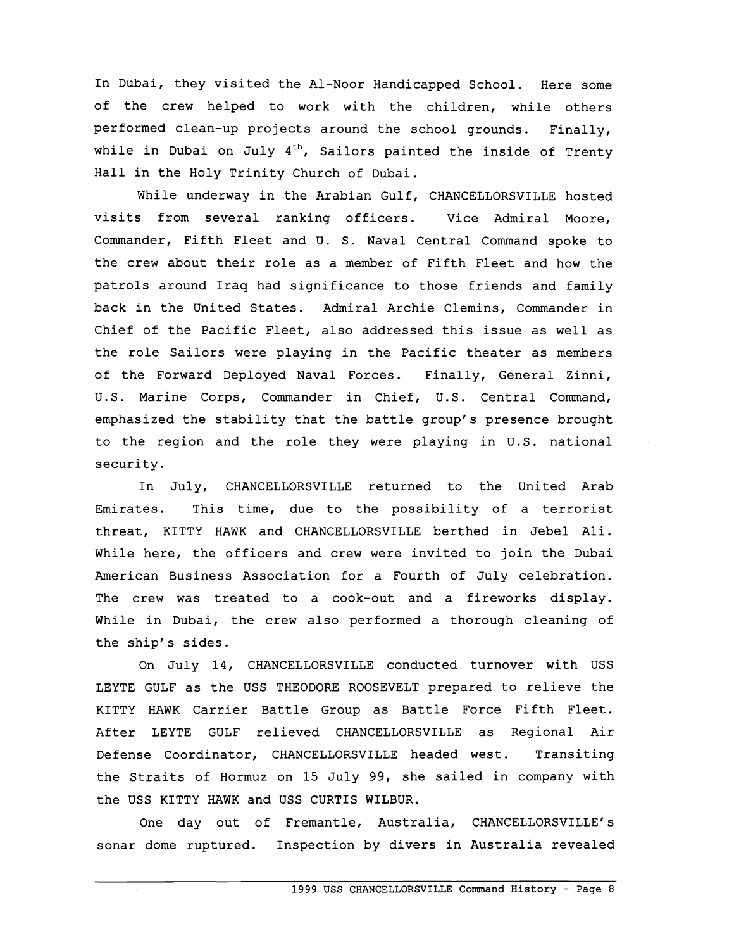In Dubai, they visited the Al-Noor Handicapped School. Here some of the crew helped to work with the children, while others performed clean-up projects around the school grounds. Finally, while in Dubai on July  $4<sup>th</sup>$ , Sailors painted the inside of Trenty Hall in the Holy Trinity Church of Dubai.

While underway in the Arabian Gulf, CHANCELLORSVILLE hosted visits from several ranking officers. Vice Admiral Moore, Commander, Fifth Fleet and U. S. Naval Central Command spoke to the crew about their role as a member of Fifth Fleet and how the patrols around Iraq had significance to those friends and family back in the United States. Admiral Archie Clemins, Commander in Chief of the Pacific Fleet, also addressed this issue as well as the role Sailors were playing in the Pacific theater as members of the Forward Deployed Naval Forces. Finally, General Zinni, U.S. Marine Corps, Commander in Chief, U.S. Central Command, emphasized the stability that the battle group's presence brought to the region and the role they were playing in U.S. national security.

In July, CHANCELLORSVILLE returned to the United Arab Emirates. This time, due to the possibility of a terrorist threat, KITTY HAWK and CHANCELLORSVILLE berthed in Jebel Ali. While here, the officers and crew were invited to join the Dubai American Business Association for a Fourth of July celebration. The crew was treated to a cook-out and a fireworks display. While in Dubai, the crew also performed a thorough cleaning of the ship's sides.

On July 14, CHANCELLORSVILLE conducted turnover with USS LEYTE GULF as the USS THEODORE ROOSEVELT prepared to relieve the KITTY HAWK Carrier Battle Group as Battle Force Fifth Fleet. After LEYTE GULF relieved CHANCELLORSVILLE as Regional Air Defense Coordinator, CHANCELLORSVILLE headed west. Transiting the Straits of Hormuz on 15 July 99, she sailed in company with the USS KITTY HAWK and USS CURTIS WILBUR.

One day out of Fremantle, Australia, CHANCELLORSVILLE's sonar dome ruptured. Inspection by divers in Australia revealed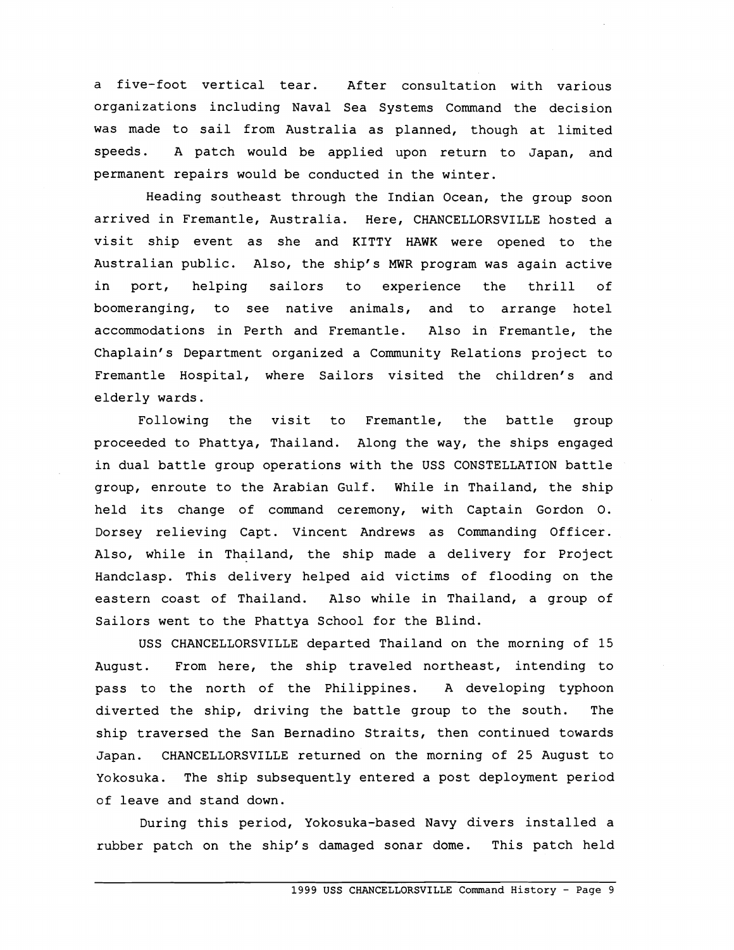a five-foot vertical tear. After consultation with various organizations including Naval Sea Systems Command the decision was made to sail from Australia as planned, though at limited speeds. A patch would be applied upon return to Japan, and permanent repairs would be conducted in the winter.

Heading southeast through the Indian Ocean, the group soon arrived in Fremantle, Australia. Here, CHANCELLORSVILLE hosted a visit ship event as she and KITTY HAWK were opened to the Australian public. Also, the ship's MWR program was again active in port, helping sailors to experience the thrill of boomeranging, to see native animals, and to arrange hotel accommodations in Perth and Fremantle. Also in Fremantle, the Chaplain's Department organized a Community Relations project to Fremantle Hospital, where Sailors visited the children's and elderly wards.

Following the visit to Fremantle, the battle group proceeded to Phattya, Thailand. Along the way, the ships engaged in dual battle group operations with the USS CONSTELLATION battle group, enroute to the Arabian Gulf. While in Thailand, the ship held its change of command ceremony, with Captain Gordon 0. Dorsey relieving Capt. Vincent Andrews as Commanding Officer. Also, while in Thailand, the ship made a delivery for Project Handclasp. This delivery helped aid victims of flooding on the eastern coast of Thailand. Also while in Thailand, a group of Sailors went to the Phattya School for the Blind.

USS CHANCELLORSVILLE departed Thailand on the morning of 15 August. From here, the ship traveled northeast, intending to pass to the north of the Philippines. A developing typhoon diverted the ship, driving the battle group to the south. The ship traversed the San Bernadino Straits, then continued towards Japan. CHANCELLORSVILLE returned on the morning of 25 August to Yokosuka. The ship subsequently entered a post deployment period of leave and stand down.

During this period, Yokosuka-based Navy divers installed a rubber patch on the ship's damaged sonar dome. This patch held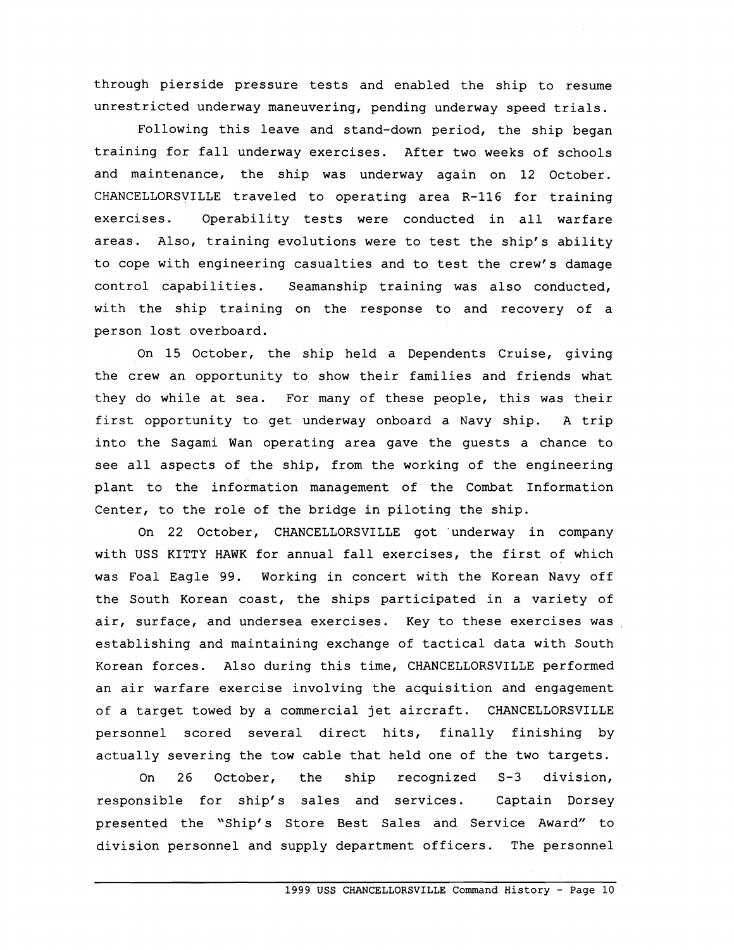through pierside pressure tests and enabled the ship to resume unrestricted underway maneuvering, pending underway speed trials.

Following this leave and stand-down period, the ship began training for fall underway exercises. After two weeks of schools and maintenance, the ship was underway again on 12 October. CHANCELLORSVILLE traveled to operating area R-116 for training exercises. Operability tests were conducted in all warfare areas. Also, training evolutions were to test the ship's ability to cope with engineering casualties and to test the crew's damage control capabilities. Seamanship training was also conducted, with the ship training on the response to and recovery of a person lost overboard.

On 15 October, the ship held a Dependents Cruise, giving the crew an opportunity to show their families and friends what they do while at sea. For many of these people, this was their first opportunity to get underway onboard a Navy ship. A trip into the Sagami Wan operating area gave the guests a chance to see all aspects of the ship, from the working of the engineering plant to the information management of the Combat Information Center, to the role of the bridge in piloting the ship.

On 22 October, CHANCELLORSVILLE got underway in company with USS KITTY HAWK for annual fall exercises, the first of which was Foal Eagle 99. Working in concert with the Korean Navy off the South Korean coast, the ships participated in a variety of air, surface, and undersea exercises. Key to these exercises was establishing and maintaining exchange of tactical data with South Korean forces. Also during this time, CHANCELLORSVILLE performed an air warfare exercise involving the acquisition and engagement of a target towed by a commercial jet aircraft. CHANCELLORSVILLE personnel scored several direct hits, finally finishing by actually severing the tow cable that held one of the two targets.

On 26 October, the ship recognized S-3 division, responsible for ship's sales and services. Captain Dorsey presented the "Ship's Store Best Sales and Service Award" to division personnel and supply department officers. The personnel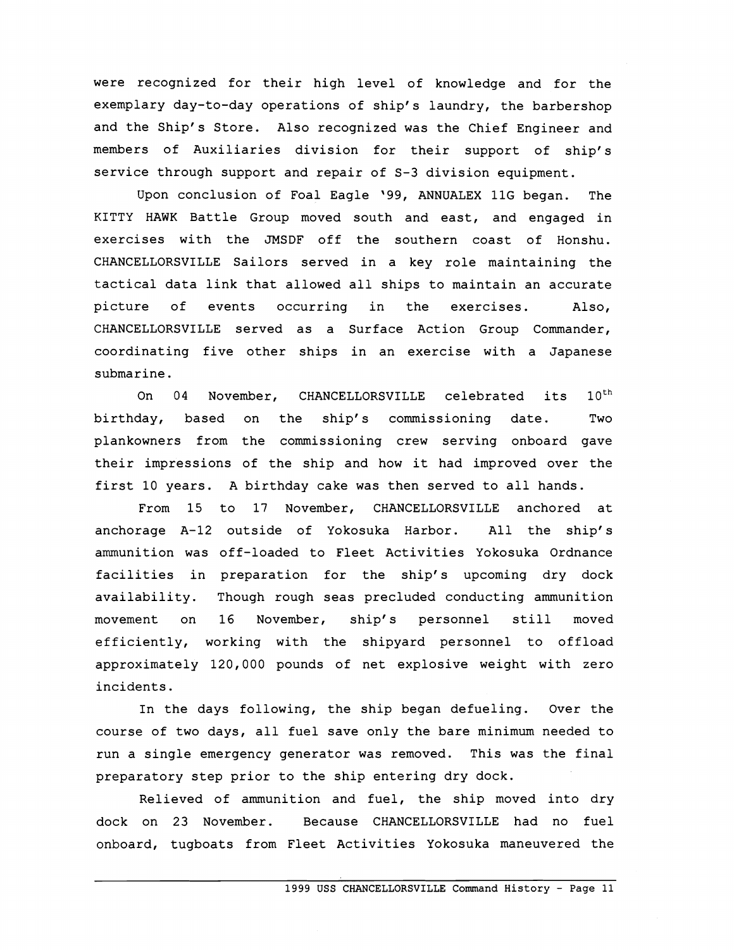were recognized for their high level of knowledge and for the exemplary day-to-day operations of ship's laundry, the barbershop and the Ship's Store. Also recognized was the Chief Engineer and members of Auxiliaries division for their support of ship's service through support and repair of S-3 division equipment.

Upon conclusion of Foal Eagle '99, ANNUALEX 11G began. The KITTY HAWK Battle Group moved south and east, and engaged in exercises with the JMSDF off the southern coast of Honshu. CHANCELLORSVILLE Sailors served in a key role maintaining the tactical data link that allowed all ships to maintain an accurate picture of events occurring in the exercises. Also, CHANCELLORSVILLE served as a Surface Action Group Commander, coordinating five other ships in an exercise with a Japanese submarine.

On 04 November, CHANCELLORSVILLE celebrated its 10<sup>th</sup> birthday, based on the ship's commissioning date. Two plankowners from the commissioning crew serving onboard gave their impressions of the ship and how it had improved over the first 10 years. A birthday cake was then served to all hands.

From 15 to 17 November, CHANCELLORSVILLE anchored at anchorage A-12 outside of Yokosuka Harbor. All the ship's ammunition was off-loaded to Fleet Activities Yokosuka Ordnance facilities in preparation for the ship's upcoming dry dock availability. Though rough seas precluded conducting ammunition movement on 16 November, ship's personnel still moved efficiently, working with the shipyard personnel to offload approximately 120,000 pounds of net explosive weight with zero incidents.

In the days following, the ship began defueling. Over the course of two days, all fuel save only the bare minimum needed to run a single emergency generator was removed. This was the final preparatory step prior to the ship entering dry dock.

Relieved of ammunition and fuel, the ship moved into dry dock on 23 November. Because CHANCELLORSVILLE had no fuel onboard, tugboats from Fleet Activities Yokosuka maneuvered the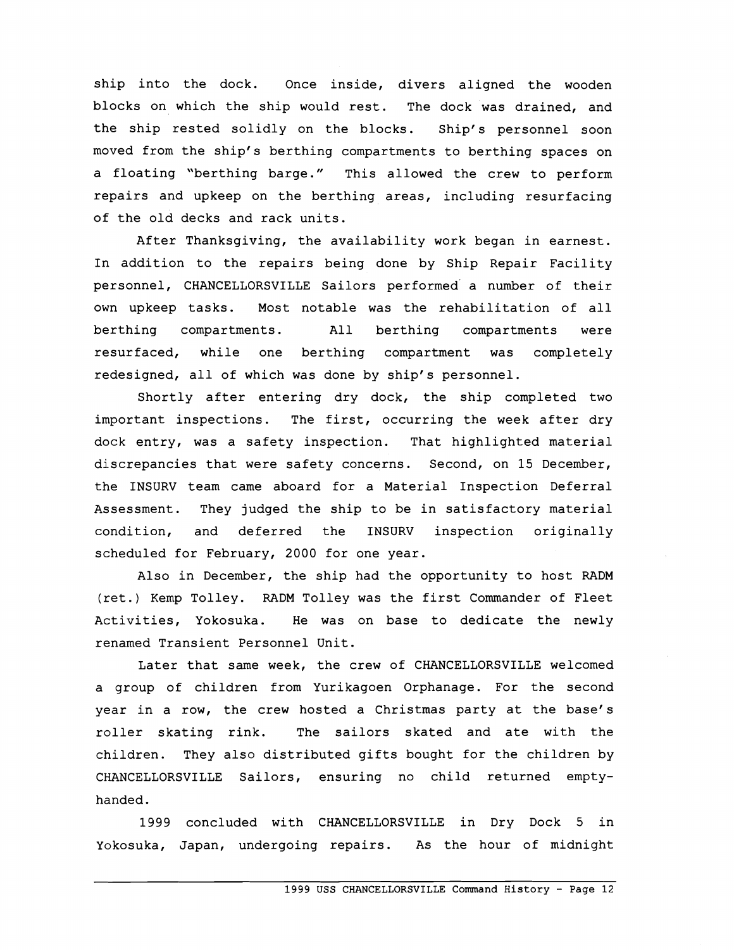ship into the dock. Once inside, divers aligned the wooden blocks on which the ship would rest. The dock was drained, and the ship rested solidly on the blocks. Ship's personnel soon moved from the ship's berthing compartments to berthing spaces on a floating "berthing barge." This allowed the crew to perform repairs and upkeep on the berthing areas, including resurfacing of the old decks and rack units.

After Thanksgiving, the availability work began in earnest. In addition to the repairs being done by Ship Repair Facility personnel, CHANCELLORSVILLE Sailors performed a number of their own upkeep tasks. Most notable was the rehabilitation of all berthing compartments. All berthing compartments were resurfaced, while one berthing compartment was completely redesigned, all of which was done by ship's personnel.

Shortly after entering dry dock, the ship completed two important inspections. The first, occurring the week after dry dock entry, was a safety inspection. That highlighted material discrepancies that were safety concerns. Second, on 15 December, the INSURV team came aboard for a Material Inspection Deferral Assessment. They judged the ship to be in satisfactory material condition, and deferred the INSURV inspection originally scheduled for February, 2000 for one year.

Also in December, the ship had the opportunity to host RADM (ret.) Kemp Tolley. RADM Tolley was the first Commander of Fleet Activities, Yokosuka. He was on base to dedicate the newly renamed Transient Personnel Unit.

Later that same week, the crew of CHANCELLORSVILLE welcomed a group of children from Yurikagoen Orphanage. For the second year in a row, the crew hosted a Christmas party at the base's roller skating rink. The sailors skated and ate with the children. They also distributed gifts bought for the children by CHANCELLORSVILLE Sailors, ensuring no child returned emptyhanded.

1999 concluded with CHANCELLORSVILLE in Dry Dock 5 in Yokosuka, Japan, undergoing repairs. As the hour of midnight